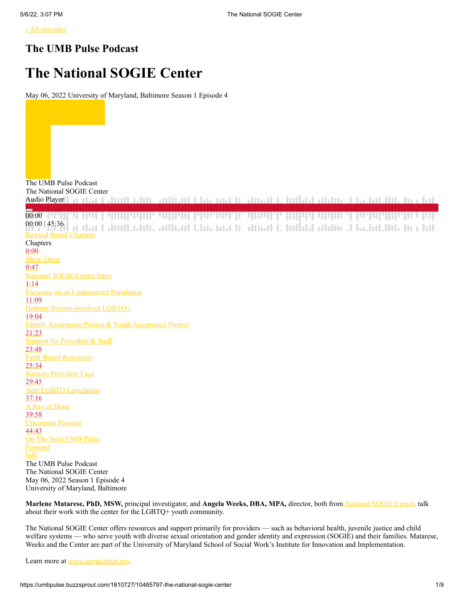[‹ All episodes](https://umbpulse.buzzsprout.com/1810727)

## **The UMB Pulse Podcast**

# **The National SOGIE Center**

May 06, 2022 University of Maryland, Baltimore Season 1 Episode 4

The UMB Pulse Podcast The National SOGIE Center nua tradinad to Inflata adding to Jactab Info Incolate Audio Player the contract of the contract of the contract of the contract of the contract of the contract of the contract of 00:00 00:00 | 45:36 ar dan Eabodhaabdu, andhand baha maa be aboad da budaha abdun akaanadhiladu a bula **[Rewind](https://umbpulse.buzzsprout.com/1810727/10485797-the-national-sogie-center) [Speed](https://umbpulse.buzzsprout.com/1810727/10485797-the-national-sogie-center) Chapters** Chapters 0:00 Show Open 0:47 National SOGIE Center Intro 1:14 Focusing on an Underserved Population 11:09 Helping System-Involved LGBTQ+ 19:04 Family Acceptance Project & Youth Acceptance Project 21:23 **Support for Providers & Staff** 23:48 Faith-Based Resources 25:34 Barriers Providers Face 29:45 Anti-LGBTQ Legislation 37:16 A Ray of Hope 39:58 Upcoming Projects 44:43 On The Next UMB Pulse **Forward** InfoThe UMB Pulse Podcast The National SOGIE Center May 06, 2022 Season 1 Episode 4 University of Maryland, Baltimore

**Marlene Matarese, PhD, MSW,** principal investigator, and **Angela Weeks, DBA, MPA,** director, both fro[m National SOGIE Center.](https://www.sogiecenter.org/) talk about their work with the center for the LGBTQ+ youth community.

The National SOGIE Center offers resources and support primarily for providers — such as behavioral health, juvenile justice and child welfare systems — who serve youth with diverse sexual orientation and gender identity and expression (SOGIE) and their families. Matarese, Weeks and the Center are part of the University of Maryland School of Social Work's Institute for Innovation and Implementation.

Learn more at [www.sogiecenter.org.](http://www.sogiecenter.org/)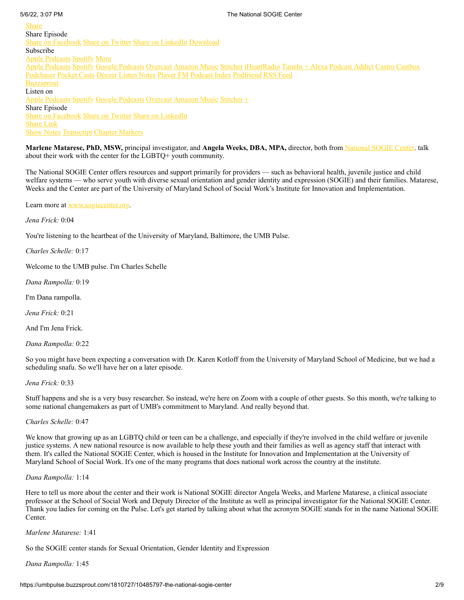Share Episode [Share on Facebook](http://www.facebook.com/sharer.php?u=https://www.buzzsprout.com/1810727/10485797-the-national-sogie-center) [Share on Twitter](http://twitter.com/share?text=Listening+to+%22The+National+SOGIE+Center%22+at+&url=https%3A%2F%2Fwww.buzzsprout.com%2F1810727%2F10485797-the-national-sogie-center) [Share on LinkedIn](https://www.linkedin.com/sharing/share-offsite/?url=https%3A%2F%2Fwww.buzzsprout.com%2F1810727%2F10485797-the-national-sogie-center) [Download](https://www.buzzsprout.com/1810727/10485797-the-national-sogie-center.mp3?client_source=buzzsprout_site&download=true) Subscribe [Apple Podcasts](https://podcasts.apple.com/us/podcast/the-umb-pulse-podcast/id1576556228) [Spotify](https://open.spotify.com/show/4EnIvbhvCK9Zb3ESAdzX3V) More [Apple Podcasts](https://podcasts.apple.com/us/podcast/the-umb-pulse-podcast/id1576556228) [Spotify](https://open.spotify.com/show/4EnIvbhvCK9Zb3ESAdzX3V) [Google Podcasts](https://podcasts.google.com/feed/aHR0cHM6Ly9mZWVkcy5idXp6c3Byb3V0LmNvbS8xODEwNzI3LnJzcw==) [Overcast](https://overcast.fm/itunes1576556228) [Amazon Music](https://music.amazon.com/podcasts/50df4aa9-ec35-488c-834f-9b2212b1f7ab) [Stitcher](https://www.stitcher.com/s?fid=642224) [iHeartRadio](https://www.iheart.com/podcast/269-the-umb-pulse-podcast-84758176/) [TuneIn + Alexa](https://tunein.com/podcasts/Education-Podcasts/The-UMB-Pulse-p1474015/) [Podcast Addict](https://podcastaddict.com/podcast/3538471) [Castro](https://castro.fm/itunes/1576556228) [Castbox](https://castbox.fm/vic/1576556228?ref=buzzsprout) [Podchaser](https://www.podchaser.com/podcasts/the-umb-pulse-podcast-1967065) [Pocket Casts](https://pca.st/3nhvdhpu) [Deezer](https://www.deezer.com/show/2816342) [Listen Notes](https://www.listennotes.com/c/477087e9ef274a6a842db4931c282731/) [Player FM](https://player.fm/series/series-2950861) [Podcast Index](https://podcastindex.org/podcast/4082665) [Podfriend](https://web.podfriend.com/podcast/1576556228) [RSS Feed](https://feeds.buzzsprout.com/1810727.rss) **[Buzzsprout](https://www.buzzsprout.com/)** Listen on [Apple Podcasts](https://podcasts.apple.com/us/podcast/the-umb-pulse-podcast/id1576556228) [Spotify](https://open.spotify.com/show/4EnIvbhvCK9Zb3ESAdzX3V) [Google Podcasts](https://podcasts.google.com/feed/aHR0cHM6Ly9mZWVkcy5idXp6c3Byb3V0LmNvbS8xODEwNzI3LnJzcw==) [Overcast](https://overcast.fm/itunes1576556228) [Amazon Music](https://music.amazon.com/podcasts/50df4aa9-ec35-488c-834f-9b2212b1f7ab) [Stitcher](https://www.stitcher.com/s?fid=642224) + Share Episode [Share on Facebook](http://www.facebook.com/sharer.php?u=https://umbpulse.buzzsprout.com/1810727/10485797) [Share on Twitter](http://twitter.com/share?text=Listening+to+%22The+National+SOGIE+Center%22+at+&url=https%3A%2F%2Fumbpulse.buzzsprout.com%2F1810727%2F10485797) [Share on LinkedIn](https://www.linkedin.com/sharing/share-offsite/?url=https%3A%2F%2Fumbpulse.buzzsprout.com%2F1810727%2F10485797-the-national-sogie-center) Share Link Show Notes Transcript Chapter Markers Share

**Marlene Matarese, PhD, MSW,** principal investigator, and **Angela Weeks, DBA, MPA,** director, both fro[m National SOGIE Center.](https://www.sogiecenter.org/) talk about their work with the center for the LGBTQ+ youth community.

The National SOGIE Center offers resources and support primarily for providers — such as behavioral health, juvenile justice and child welfare systems — who serve youth with diverse sexual orientation and gender identity and expression (SOGIE) and their families. Matarese, Weeks and the Center are part of the University of Maryland School of Social Work's Institute for Innovation and Implementation.

Learn more at [www.sogiecenter.org.](http://www.sogiecenter.org/)

*Jena Frick:* 0:04

You're listening to the heartbeat of the University of Maryland, Baltimore, the UMB Pulse.

*Charles Schelle:* 0:17

Welcome to the UMB pulse. I'm Charles Schelle

*Dana Rampolla:* 0:19

I'm Dana rampolla.

*Jena Frick:* 0:21

And I'm Jena Frick.

*Dana Rampolla:* 0:22

So you might have been expecting a conversation with Dr. Karen Kotloff from the University of Maryland School of Medicine, but we had a scheduling snafu. So we'll have her on a later episode.

#### *Jena Frick:* 0:33

Stuff happens and she is a very busy researcher. So instead, we're here on Zoom with a couple of other guests. So this month, we're talking to some national changemakers as part of UMB's commitment to Maryland. And really beyond that.

#### *Charles Schelle:* 0:47

We know that growing up as an LGBTQ child or teen can be a challenge, and especially if they're involved in the child welfare or juvenile justice systems. A new national resource is now available to help these youth and their families as well as agency staff that interact with them. It's called the National SOGIE Center, which is housed in the Institute for Innovation and Implementation at the University of Maryland School of Social Work. It's one of the many programs that does national work across the country at the institute.

#### *Dana Rampolla:* 1:14

Here to tell us more about the center and their work is National SOGIE director Angela Weeks, and Marlene Matarese, a clinical associate professor at the School of Social Work and Deputy Director of the Institute as well as principal investigator for the National SOGIE Center. Thank you ladies for coming on the Pulse. Let's get started by talking about what the acronym SOGIE stands for in the name National SOGIE Center.

*Marlene Matarese:* 1:41

So the SOGIE center stands for Sexual Orientation, Gender Identity and Expression

#### *Dana Rampolla:* 1:45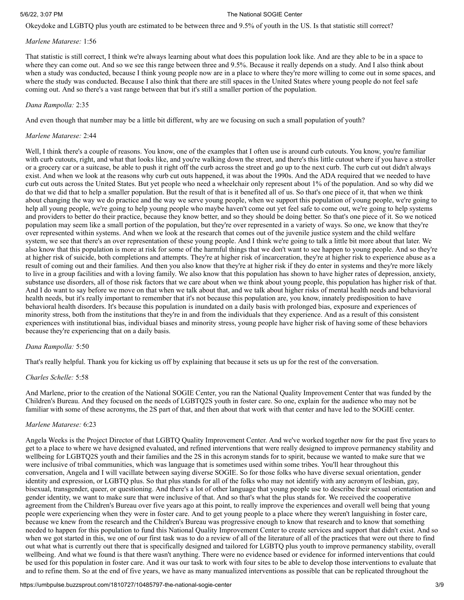Okeydoke and LGBTQ plus youth are estimated to be between three and 9.5% of youth in the US. Is that statistic still correct?

#### *Marlene Matarese:* 1:56

That statistic is still correct, I think we're always learning about what does this population look like. And are they able to be in a space to where they can come out. And so we see this range between three and 9.5%. Because it really depends on a study. And I also think about when a study was conducted, because I think young people now are in a place to where they're more willing to come out in some spaces, and where the study was conducted. Because I also think that there are still spaces in the United States where young people do not feel safe coming out. And so there's a vast range between that but it's still a smaller portion of the population.

#### *Dana Rampolla:* 2:35

And even though that number may be a little bit different, why are we focusing on such a small population of youth?

#### *Marlene Matarese:* 2:44

Well, I think there's a couple of reasons. You know, one of the examples that I often use is around curb cutouts. You know, you're familiar with curb cutouts, right, and what that looks like, and you're walking down the street, and there's this little cutout where if you have a stroller or a grocery car or a suitcase, be able to push it right off the curb across the street and go up to the next curb. The curb cut out didn't always exist. And when we look at the reasons why curb cut outs happened, it was about the 1990s. And the ADA required that we needed to have curb cut outs across the United States. But yet people who need a wheelchair only represent about 1% of the population. And so why did we do that we did that to help a smaller population. But the result of that is it benefited all of us. So that's one piece of it, that when we think about changing the way we do practice and the way we serve young people, when we support this population of young people, we're going to help all young people, we're going to help young people who maybe haven't come out yet feel safe to come out, we're going to help systems and providers to better do their practice, because they know better, and so they should be doing better. So that's one piece of it. So we noticed population may seem like a small portion of the population, but they're over represented in a variety of ways. So one, we know that they're over represented within systems. And when we look at the research that comes out of the juvenile justice system and the child welfare system, we see that there's an over representation of these young people. And I think we're going to talk a little bit more about that later. We also know that this population is more at risk for some of the harmful things that we don't want to see happen to young people. And so they're at higher risk of suicide, both completions and attempts. They're at higher risk of incarceration, they're at higher risk to experience abuse as a result of coming out and their families. And then you also know that they're at higher risk if they do enter in systems and they're more likely to live in a group facilities and with a loving family. We also know that this population has shown to have higher rates of depression, anxiety, substance use disorders, all of those risk factors that we care about when we think about young people, this population has higher risk of that. And I do want to say before we move on that when we talk about that, and we talk about higher risks of mental health needs and behavioral health needs, but it's really important to remember that it's not because this population are, you know, innately predisposition to have behavioral health disorders. It's because this population is inundated on a daily basis with prolonged bias, exposure and experiences of minority stress, both from the institutions that they're in and from the individuals that they experience. And as a result of this consistent experiences with institutional bias, individual biases and minority stress, young people have higher risk of having some of these behaviors because they're experiencing that on a daily basis.

### *Dana Rampolla:* 5:50

That's really helpful. Thank you for kicking us off by explaining that because it sets us up for the rest of the conversation.

#### *Charles Schelle:* 5:58

And Marlene, prior to the creation of the National SOGIE Center, you ran the National Quality Improvement Center that was funded by the Children's Bureau. And they focused on the needs of LGBTQ2S youth in foster care. So one, explain for the audience who may not be familiar with some of these acronyms, the 2S part of that, and then about that work with that center and have led to the SOGIE center.

### *Marlene Matarese:* 6:23

Angela Weeks is the Project Director of that LGBTQ Quality Improvement Center. And we've worked together now for the past five years to get to a place to where we have designed evaluated, and refined interventions that were really designed to improve permanency stability and wellbeing for LGBTQ2S youth and their families and the 2S in this acronym stands for to spirit, because we wanted to make sure that we were inclusive of tribal communities, which was language that is sometimes used within some tribes. You'll hear throughout this conversation, Angela and I will vacillate between saying diverse SOGIE. So for those folks who have diverse sexual orientation, gender identity and expression, or LGBTQ plus. So that plus stands for all of the folks who may not identify with any acronym of lesbian, gay, bisexual, transgender, queer, or questioning. And there's a lot of other language that young people use to describe their sexual orientation and gender identity, we want to make sure that were inclusive of that. And so that's what the plus stands for. We received the cooperative agreement from the Children's Bureau over five years ago at this point, to really improve the experiences and overall well being that young people were experiencing when they were in foster care. And to get young people to a place where they weren't languishing in foster care, because we knew from the research and the Children's Bureau was progressive enough to know that research and to know that something needed to happen for this population to fund this National Quality Improvement Center to create services and support that didn't exist. And so when we got started in this, we one of our first task was to do a review of all of the literature of all of the practices that were out there to find out what what is currently out there that is specifically designed and tailored for LGBTQ plus youth to improve permanency stability, overall wellbeing. And what we found is that there wasn't anything. There were no evidence based or evidence for informed interventions that could be used for this population in foster care. And it was our task to work with four sites to be able to develop those interventions to evaluate that and to refine them. So at the end of five years, we have as many manualized interventions as possible that can be replicated throughout the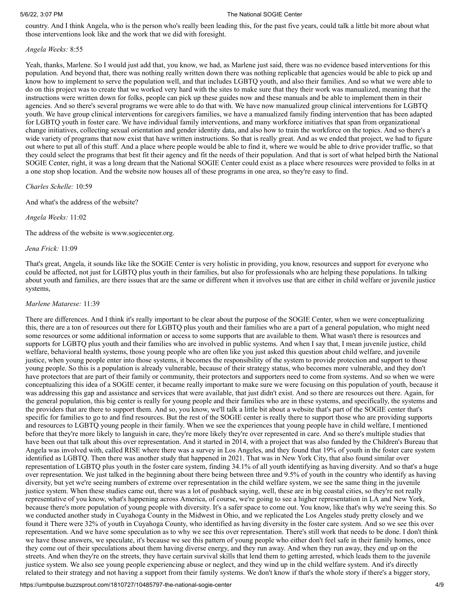country. And I think Angela, who is the person who's really been leading this, for the past five years, could talk a little bit more about what those interventions look like and the work that we did with foresight.

*Angela Weeks:* 8:55

Yeah, thanks, Marlene. So I would just add that, you know, we had, as Marlene just said, there was no evidence based interventions for this population. And beyond that, there was nothing really written down there was nothing replicable that agencies would be able to pick up and know how to implement to serve the population well, and that includes LGBTQ youth, and also their families. And so what we were able to do on this project was to create that we worked very hard with the sites to make sure that they their work was manualized, meaning that the instructions were written down for folks, people can pick up these guides now and these manuals and be able to implement them in their agencies. And so there's several programs we were able to do that with. We have now manualized group clinical interventions for LGBTQ youth. We have group clinical interventions for caregivers families, we have a manualized family finding intervention that has been adapted for LGBTQ youth in foster care. We have individual family interventions, and many workforce initiatives that span from organizational change initiatives, collecting sexual orientation and gender identity data, and also how to train the workforce on the topics. And so there's a wide variety of programs that now exist that have written instructions. So that is really great. And as we ended that project, we had to figure out where to put all of this stuff. And a place where people would be able to find it, where we would be able to drive provider traffic, so that they could select the programs that best fit their agency and fit the needs of their population. And that is sort of what helped birth the National SOGIE Center, right, it was a long dream that the National SOGIE Center could exist as a place where resources were provided to folks in at a one stop shop location. And the website now houses all of these programs in one area, so they're easy to find.

*Charles Schelle:* 10:59

And what's the address of the website?

*Angela Weeks:* 11:02

The address of the website is www.sogiecenter.org.

*Jena Frick:* 11:09

That's great, Angela, it sounds like like the SOGIE Center is very holistic in providing, you know, resources and support for everyone who could be affected, not just for LGBTQ plus youth in their families, but also for professionals who are helping these populations. In talking about youth and families, are there issues that are the same or different when it involves use that are either in child welfare or juvenile justice systems,

#### *Marlene Matarese:* 11:39

There are differences. And I think it's really important to be clear about the purpose of the SOGIE Center, when we were conceptualizing this, there are a ton of resources out there for LGBTQ plus youth and their families who are a part of a general population, who might need some resources or some additional information or access to some supports that are available to them. What wasn't there is resources and supports for LGBTQ plus youth and their families who are involved in public systems. And when I say that, I mean juvenile justice, child welfare, behavioral health systems, those young people who are often like you just asked this question about child welfare, and juvenile justice, when young people enter into those systems, it becomes the responsibility of the system to provide protection and support to those young people. So this is a population is already vulnerable, because of their strategy status, who becomes more vulnerable, and they don't have protectors that are part of their family or community, their protectors and supporters need to come from systems. And so when we were conceptualizing this idea of a SOGIE center, it became really important to make sure we were focusing on this population of youth, because it was addressing this gap and assistance and services that were available, that just didn't exist. And so there are resources out there. Again, for the general population, this big center is really for young people and their families who are in these systems, and specifically, the systems and the providers that are there to support them. And so, you know, we'll talk a little bit about a website that's part of the SOGIE center that's specific for families to go to and find resources. But the rest of the SOGIE center is really there to support those who are providing supports and resources to LGBTQ young people in their family. When we see the experiences that young people have in child welfare, I mentioned before that they're more likely to languish in care, they're more likely they're over represented in care. And so there's multiple studies that have been out that talk about this over representation. And it started in 2014, with a project that was also funded by the Children's Bureau that Angela was involved with, called RISE where there was a survey in Los Angeles, and they found that 19% of youth in the foster care system identified as LGBTQ. Then there was another study that happened in 2021. That was in New York City, that also found similar over representation of LGBTQ plus youth in the foster care system, finding 34.1% of all youth identifying as having diversity. And so that's a huge over representation. We just talked in the beginning about there being between three and 9.5% of youth in the country who identify as having diversity, but yet we're seeing numbers of extreme over representation in the child welfare system, we see the same thing in the juvenile justice system. When these studies came out, there was a lot of pushback saying, well, these are in big coastal cities, so they're not really representative of you know, what's happening across America, of course, we're going to see a higher representation in LA and New York, because there's more population of young people with diversity. It's a safer space to come out. You know, like that's why we're seeing this. So we conducted another study in Cuyahoga County in the Midwest in Ohio, and we replicated the Los Angeles study pretty closely and we found it There were 32% of youth in Cuyahoga County, who identified as having diversity in the foster care system. And so we see this over representation. And we have some speculation as to why we see this over representation. There's still work that needs to be done. I don't think we have those answers, we speculate, it's because we see this pattern of young people who either don't feel safe in their family homes, once they come out of their speculations about them having diverse energy, and they run away. And when they run away, they end up on the streets. And when they're on the streets, they have certain survival skills that lend them to getting arrested, which leads them to the juvenile justice system. We also see young people experiencing abuse or neglect, and they wind up in the child welfare system. And it's directly related to their strategy and not having a support from their family systems. We don't know if that's the whole story if there's a bigger story,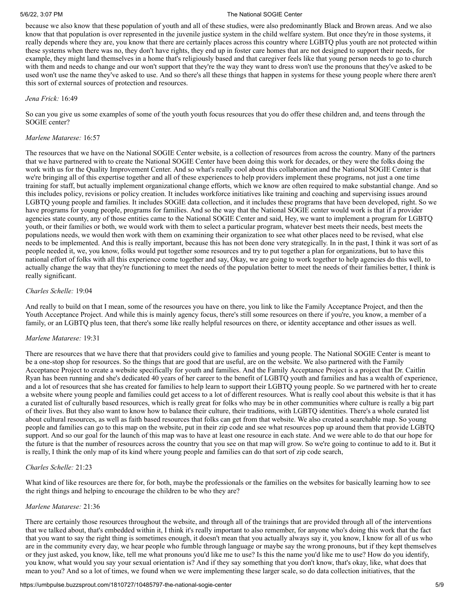because we also know that these population of youth and all of these studies, were also predominantly Black and Brown areas. And we also know that that population is over represented in the juvenile justice system in the child welfare system. But once they're in those systems, it really depends where they are, you know that there are certainly places across this country where LGBTQ plus youth are not protected within these systems when there was no, they don't have rights, they end up in foster care homes that are not designed to support their needs, for example, they might land themselves in a home that's religiously based and that caregiver feels like that young person needs to go to church with them and needs to change and our won't support that they're the way they want to dress won't use the pronouns that they've asked to be used won't use the name they've asked to use. And so there's all these things that happen in systems for these young people where there aren't this sort of external sources of protection and resources.

#### *Jena Frick:* 16:49

So can you give us some examples of some of the youth youth focus resources that you do offer these children and, and teens through the SOGIE center?

#### *Marlene Matarese:* 16:57

The resources that we have on the National SOGIE Center website, is a collection of resources from across the country. Many of the partners that we have partnered with to create the National SOGIE Center have been doing this work for decades, or they were the folks doing the work with us for the Quality Improvement Center. And so what's really cool about this collaboration and the National SOGIE Center is that we're bringing all of this expertise together and all of these experiences to help providers implement these programs, not just a one time training for staff, but actually implement organizational change efforts, which we know are often required to make substantial change. And so this includes policy, revisions or policy creation. It includes workforce initiatives like training and coaching and supervising issues around LGBTQ young people and families. It includes SOGIE data collection, and it includes these programs that have been developed, right. So we have programs for young people, programs for families. And so the way that the National SOGIE center would work is that if a provider agencies state county, any of those entities came to the National SOGIE Center and said, Hey, we want to implement a program for LGBTQ youth, or their families or both, we would work with them to select a particular program, whatever best meets their needs, best meets the populations needs, we would then work with them on examining their organization to see what other places need to be revised, what else needs to be implemented. And this is really important, because this has not been done very strategically. In in the past, I think it was sort of as people needed it, we, you know, folks would put together some resources and try to put together a plan for organizations, but to have this national effort of folks with all this experience come together and say, Okay, we are going to work together to help agencies do this well, to actually change the way that they're functioning to meet the needs of the population better to meet the needs of their families better, I think is really significant.

#### *Charles Schelle:* 19:04

And really to build on that I mean, some of the resources you have on there, you link to like the Family Acceptance Project, and then the Youth Acceptance Project. And while this is mainly agency focus, there's still some resources on there if you're, you know, a member of a family, or an LGBTQ plus teen, that there's some like really helpful resources on there, or identity acceptance and other issues as well.

#### *Marlene Matarese:* 19:31

There are resources that we have there that that providers could give to families and young people. The National SOGIE Center is meant to be a one-stop shop for resources. So the things that are good that are useful, are on the website. We also partnered with the Family Acceptance Project to create a website specifically for youth and families. And the Family Acceptance Project is a project that Dr. Caitlin Ryan has been running and she's dedicated 40 years of her career to the benefit of LGBTQ youth and families and has a wealth of experience, and a lot of resources that she has created for families to help learn to support their LGBTQ young people. So we partnered with her to create a website where young people and families could get access to a lot of different resources. What is really cool about this website is that it has a curated list of culturally based resources, which is really great for folks who may be in other communities where culture is really a big part of their lives. But they also want to know how to balance their culture, their traditions, with LGBTQ identities. There's a whole curated list about cultural resources, as well as faith based resources that folks can get from that website. We also created a searchable map. So young people and families can go to this map on the website, put in their zip code and see what resources pop up around them that provide LGBTQ support. And so our goal for the launch of this map was to have at least one resource in each state. And we were able to do that our hope for the future is that the number of resources across the country that you see on that map will grow. So we're going to continue to add to it. But it is really, I think the only map of its kind where young people and families can do that sort of zip code search,

#### *Charles Schelle:* 21:23

What kind of like resources are there for, for both, maybe the professionals or the families on the websites for basically learning how to see the right things and helping to encourage the children to be who they are?

#### *Marlene Matarese:* 21:36

There are certainly those resources throughout the website, and through all of the trainings that are provided through all of the interventions that we talked about, that's embedded within it, I think it's really important to also remember, for anyone who's doing this work that the fact that you want to say the right thing is sometimes enough, it doesn't mean that you actually always say it, you know, I know for all of us who are in the community every day, we hear people who fumble through language or maybe say the wrong pronouns, but if they kept themselves or they just asked, you know, like, tell me what pronouns you'd like me to use? Is this the name you'd like me to use? How do you identify, you know, what would you say your sexual orientation is? And if they say something that you don't know, that's okay, like, what does that mean to you? And so a lot of times, we found when we were implementing these larger scale, so do data collection initiatives, that the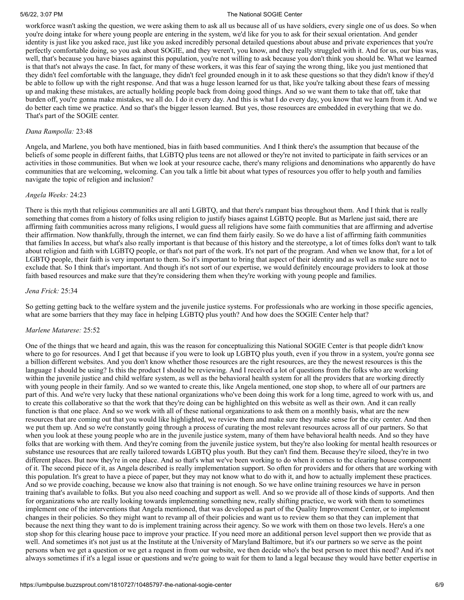workforce wasn't asking the question, we were asking them to ask all us because all of us have soldiers, every single one of us does. So when you're doing intake for where young people are entering in the system, we'd like for you to ask for their sexual orientation. And gender identity is just like you asked race, just like you asked incredibly personal detailed questions about abuse and private experiences that you're perfectly comfortable doing, so you ask about SOGIE, and they weren't, you know, and they really struggled with it. And for us, our bias was, well, that's because you have biases against this population, you're not willing to ask because you don't think you should be. What we learned is that that's not always the case. In fact, for many of these workers, it was this fear of saying the wrong thing, like you just mentioned that they didn't feel comfortable with the language, they didn't feel grounded enough in it to ask these questions so that they didn't know if they'd be able to follow up with the right response. And that was a huge lesson learned for us that, like you're talking about these fears of messing up and making these mistakes, are actually holding people back from doing good things. And so we want them to take that off, take that burden off, you're gonna make mistakes, we all do. I do it every day. And this is what I do every day, you know that we learn from it. And we do better each time we practice. And so that's the bigger lesson learned. But yes, those resources are embedded in everything that we do. That's part of the SOGIE center.

#### *Dana Rampolla:* 23:48

Angela, and Marlene, you both have mentioned, bias in faith based communities. And I think there's the assumption that because of the beliefs of some people in different faiths, that LGBTQ plus teens are not allowed or they're not invited to participate in faith services or an activities in those communities. But when we look at your resource cache, there's many religions and denominations who apparently do have communities that are welcoming, welcoming. Can you talk a little bit about what types of resources you offer to help youth and families navigate the topic of religion and inclusion?

#### *Angela Weeks:* 24:23

There is this myth that religious communities are all anti LGBTQ, and that there's rampant bias throughout them. And I think that is really something that comes from a history of folks using religion to justify biases against LGBTQ people. But as Marlene just said, there are affirming faith communities across many religions, I would guess all religions have some faith communities that are affirming and advertise their affirmation. Now thankfully, through the internet, we can find them fairly easily. So we do have a list of affirming faith communities that families In access, but what's also really important is that because of this history and the stereotype, a lot of times folks don't want to talk about religion and faith with LGBTQ people, or that's not part of the work. It's not part of the program. And when we know that, for a lot of LGBTQ people, their faith is very important to them. So it's important to bring that aspect of their identity and as well as make sure not to exclude that. So I think that's important. And though it's not sort of our expertise, we would definitely encourage providers to look at those faith based resources and make sure that they're considering them when they're working with young people and families.

#### *Jena Frick:* 25:34

So getting getting back to the welfare system and the juvenile justice systems. For professionals who are working in those specific agencies, what are some barriers that they may face in helping LGBTQ plus youth? And how does the SOGIE Center help that?

#### *Marlene Matarese:* 25:52

One of the things that we heard and again, this was the reason for conceptualizing this National SOGIE Center is that people didn't know where to go for resources. And I get that because if you were to look up LGBTQ plus youth, even if you throw in a system, you're gonna see a billion different websites. And you don't know whether those resources are the right resources, are they the newest resources is this the language I should be using? Is this the product I should be reviewing. And I received a lot of questions from the folks who are working within the juvenile justice and child welfare system, as well as the behavioral health system for all the providers that are working directly with young people in their family. And so we wanted to create this, like Angela mentioned, one stop shop, to where all of our partners are part of this. And we're very lucky that these national organizations who've been doing this work for a long time, agreed to work with us, and to create this collaborative so that the work that they're doing can be highlighted on this website as well as their own. And it can really function is that one place. And so we work with all of these national organizations to ask them on a monthly basis, what are the new resources that are coming out that you would like highlighted, we review them and make sure they make sense for the city center. And then we put them up. And so we're constantly going through a process of curating the most relevant resources across all of our partners. So that when you look at these young people who are in the juvenile justice system, many of them have behavioral health needs. And so they have folks that are working with them. And they're coming from the juvenile justice system, but they're also looking for mental health resources or substance use resources that are really tailored towards LGBTQ plus youth. But they can't find them. Because they're siloed, they're in two different places. But now they're in one place. And so that's what we've been working to do when it comes to the clearing house component of it. The second piece of it, as Angela described is really implementation support. So often for providers and for others that are working with this population. It's great to have a piece of paper, but they may not know what to do with it, and how to actually implement these practices. And so we provide coaching, because we know also that training is not enough. So we have online training resources we have in person training that's available to folks. But you also need coaching and support as well. And so we provide all of those kinds of supports. And then for organizations who are really looking towards implementing something new, really shifting practice, we work with them to sometimes implement one of the interventions that Angela mentioned, that was developed as part of the Quality Improvement Center, or to implement changes in their policies. So they might want to revamp all of their policies and want us to review them so that they can implement that because the next thing they want to do is implement training across their agency. So we work with them on those two levels. Here's a one stop shop for this clearing house pace to improve your practice. If you need more an additional person level support then we provide that as well. And sometimes it's not just us at the Institute at the University of Maryland Baltimore, but it's our partners so we serve as the point persons when we get a question or we get a request in from our website, we then decide who's the best person to meet this need? And it's not always sometimes if it's a legal issue or questions and we're going to wait for them to land a legal because they would have better expertise in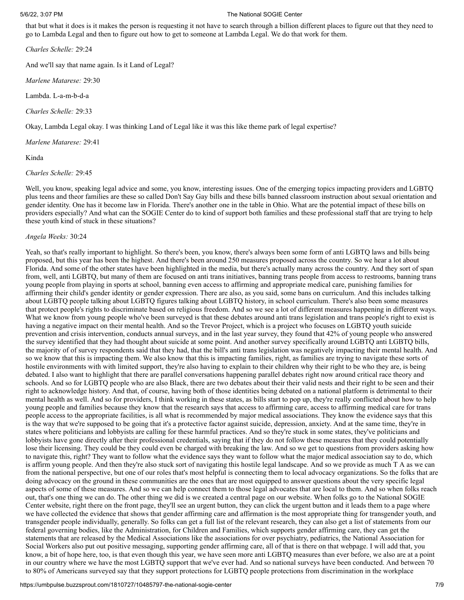that but what it does is it makes the person is requesting it not have to search through a billion different places to figure out that they need to go to Lambda Legal and then to figure out how to get to someone at Lambda Legal. We do that work for them.

*Charles Schelle:* 29:24

And we'll say that name again. Is it Land of Legal?

*Marlene Matarese:* 29:30

Lambda. L-a-m-b-d-a

*Charles Schelle:* 29:33

Okay, Lambda Legal okay. I was thinking Land of Legal like it was this like theme park of legal expertise?

*Marlene Matarese:* 29:41

Kinda

*Charles Schelle:* 29:45

Well, you know, speaking legal advice and some, you know, interesting issues. One of the emerging topics impacting providers and LGBTQ plus teens and theor families are these so called Don't Say Gay bills and these bills banned classroom instruction about sexual orientation and gender identity. One has it become law in Florida. There's another one in the table in Ohio. What are the potential impact of these bills on providers especially? And what can the SOGIE Center do to kind of support both families and these professional staff that are trying to help these youth kind of stuck in these situations?

### *Angela Weeks:* 30:24

Yeah, so that's really important to highlight. So there's been, you know, there's always been some form of anti LGBTQ laws and bills being proposed, but this year has been the highest. And there's been around 250 measures proposed across the country. So we hear a lot about Florida. And some of the other states have been highlighted in the media, but there's actually many across the country. And they sort of span from, well, anti LGBTQ, but many of them are focused on anti trans initiatives, banning trans people from access to restrooms, banning trans young people from playing in sports at school, banning even access to affirming and appropriate medical care, punishing families for affirming their child's gender identity or gender expression. There are also, as you said, some bans on curriculum. And this includes talking about LGBTQ people talking about LGBTQ figures talking about LGBTQ history, in school curriculum. There's also been some measures that protect people's rights to discriminate based on religious freedom. And so we see a lot of different measures happening in different ways. What we know from young people who've been surveyed is that these debates around anti trans legislation and trans people's right to exist is having a negative impact on their mental health. And so the Trevor Project, which is a project who focuses on LGBTQ youth suicide prevention and crisis intervention, conducts annual surveys, and in the last year survey, they found that 42% of young people who answered the survey identified that they had thought about suicide at some point. And another survey specifically around LGBTQ anti LGBTQ bills, the majority of of survey respondents said that they had, that the bill's anti trans legislation was negatively impacting their mental health. And so we know that this is impacting them. We also know that this is impacting families, right, as families are trying to navigate these sorts of hostile environments with with limited support, they're also having to explain to their children why their right to be who they are, is being debated. I also want to highlight that there are parallel conversations happening parallel debates right now around critical race theory and schools. And so for LGBTQ people who are also Black, there are two debates about their their valid nests and their right to be seen and their right to acknowledge history. And that, of course, having both of those identities being debated on a national platform is detrimental to their mental health as well. And so for providers, I think working in these states, as bills start to pop up, they're really conflicted about how to help young people and families because they know that the research says that access to affirming care, access to affirming medical care for trans people access to the appropriate facilities, is all what is recommended by major medical associations. They know the evidence says that this is the way that we're supposed to be going that it's a protective factor against suicide, depression, anxiety. And at the same time, they're in states where politicians and lobbyists are calling for these harmful practices. And so they're stuck in some states, they've politicians and lobbyists have gone directly after their professional credentials, saying that if they do not follow these measures that they could potentially lose their licensing. They could be they could even be charged with breaking the law. And so we get to questions from providers asking how to navigate this, right? They want to follow what the evidence says they want to follow what the major medical association say to do, which is affirm young people. And then they're also stuck sort of navigating this hostile legal landscape. And so we provide as much T A as we can from the national perspective, but one of our roles that's most helpful is connecting them to local advocacy organizations. So the folks that are doing advocacy on the ground in these communities are the ones that are most equipped to answer questions about the very specific legal aspects of some of these measures. And so we can help connect them to those legal advocates that are local to them. And so when folks reach out, that's one thing we can do. The other thing we did is we created a central page on our website. When folks go to the National SOGIE Center website, right there on the front page, they'll see an urgent button, they can click the urgent button and it leads them to a page where we have collected the evidence that shows that gender affirming care and affirmation is the most appropriate thing for transgender youth, and transgender people individually, generally. So folks can get a full list of the relevant research, they can also get a list of statements from our federal governing bodies, like the Administration, for Children and Families, which supports gender affirming care, they can get the statements that are released by the Medical Associations like the associations for over psychiatry, pediatrics, the National Association for Social Workers also put out positive messaging, supporting gender affirming care, all of that is there on that webpage. I will add that, you know, a bit of hope here, too, is that even though this year, we have seen more anti LGBTQ measures than ever before, we also are at a point in our country where we have the most LGBTQ support that we've ever had. And so national surveys have been conducted. And between 70 to 80% of Americans surveyed say that they support protections for LGBTQ people protections from discrimination in the workplace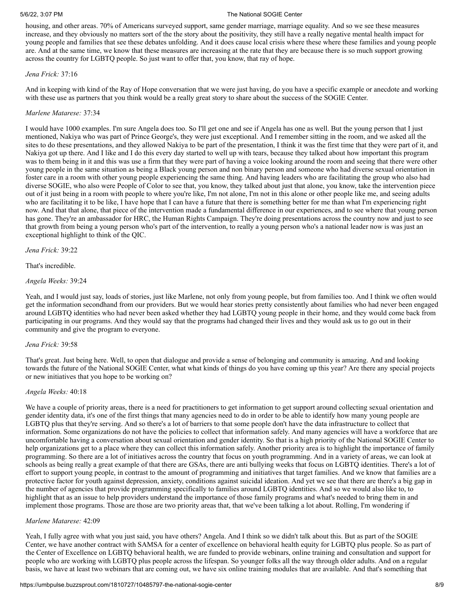housing, and other areas. 70% of Americans surveyed support, same gender marriage, marriage equality. And so we see these measures increase, and they obviously no matters sort of the the story about the positivity, they still have a really negative mental health impact for young people and families that see these debates unfolding. And it does cause local crisis where these where these families and young people are. And at the same time, we know that these measures are increasing at the rate that they are because there is so much support growing across the country for LGBTQ people. So just want to offer that, you know, that ray of hope.

#### *Jena Frick:* 37:16

And in keeping with kind of the Ray of Hope conversation that we were just having, do you have a specific example or anecdote and working with these use as partners that you think would be a really great story to share about the success of the SOGIE Center.

### *Marlene Matarese:* 37:34

I would have 1000 examples. I'm sure Angela does too. So I'll get one and see if Angela has one as well. But the young person that I just mentioned, Nakiya who was part of Prince George's, they were just exceptional. And I remember sitting in the room, and we asked all the sites to do these presentations, and they allowed Nakiya to be part of the presentation, I think it was the first time that they were part of it, and Nakiya got up there. And I like and I do this every day started to well up with tears, because they talked about how important this program was to them being in it and this was use a firm that they were part of having a voice looking around the room and seeing that there were other young people in the same situation as being a Black young person and non binary person and someone who had diverse sexual orientation in foster care in a room with other young people experiencing the same thing. And having leaders who are facilitating the group who also had diverse SOGIE, who also were People of Color to see that, you know, they talked about just that alone, you know, take the intervention piece out of it just being in a room with people to where you're like, I'm not alone, I'm not in this alone or other people like me, and seeing adults who are facilitating it to be like, I have hope that I can have a future that there is something better for me than what I'm experiencing right now. And that that alone, that piece of the intervention made a fundamental difference in our experiences, and to see where that young person has gone. They're an ambassador for HRC, the Human Rights Campaign. They're doing presentations across the country now and just to see that growth from being a young person who's part of the intervention, to really a young person who's a national leader now is was just an exceptional highlight to think of the QIC.

*Jena Frick:* 39:22

That's incredible.

*Angela Weeks:* 39:24

Yeah, and I would just say, loads of stories, just like Marlene, not only from young people, but from families too. And I think we often would get the information secondhand from our providers. But we would hear stories pretty consistently about families who had never been engaged around LGBTQ identities who had never been asked whether they had LGBTQ young people in their home, and they would come back from participating in our programs. And they would say that the programs had changed their lives and they would ask us to go out in their community and give the program to everyone.

### *Jena Frick:* 39:58

That's great. Just being here. Well, to open that dialogue and provide a sense of belonging and community is amazing. And and looking towards the future of the National SOGIE Center, what what kinds of things do you have coming up this year? Are there any special projects or new initiatives that you hope to be working on?

### *Angela Weeks:* 40:18

We have a couple of priority areas, there is a need for practitioners to get information to get support around collecting sexual orientation and gender identity data, it's one of the first things that many agencies need to do in order to be able to identify how many young people are LGBTQ plus that they're serving. And so there's a lot of barriers to that some people don't have the data infrastructure to collect that information. Some organizations do not have the policies to collect that information safely. And many agencies will have a workforce that are uncomfortable having a conversation about sexual orientation and gender identity. So that is a high priority of the National SOGIE Center to help organizations get to a place where they can collect this information safely. Another priority area is to highlight the importance of family programming. So there are a lot of initiatives across the country that focus on youth programming. And in a variety of areas, we can look at schools as being really a great example of that there are GSAs, there are anti bullying weeks that focus on LGBTQ identities. There's a lot of effort to support young people, in contrast to the amount of programming and initiatives that target families. And we know that families are a protective factor for youth against depression, anxiety, conditions against suicidal ideation. And yet we see that there are there's a big gap in the number of agencies that provide programming specifically to families around LGBTQ identities. And so we would also like to, to highlight that as an issue to help providers understand the importance of those family programs and what's needed to bring them in and implement those programs. Those are those are two priority areas that, that we've been talking a lot about. Rolling, I'm wondering if

### *Marlene Matarese:* 42:09

Yeah, I fully agree with what you just said, you have others? Angela. And I think so we didn't talk about this. But as part of the SOGIE Center, we have another contract with SAMSA for a center of excellence on behavioral health equity for LGBTQ plus people. So as part of the Center of Excellence on LGBTQ behavioral health, we are funded to provide webinars, online training and consultation and support for people who are working with LGBTQ plus people across the lifespan. So younger folks all the way through older adults. And on a regular basis, we have at least two webinars that are coming out, we have six online training modules that are available. And that's something that